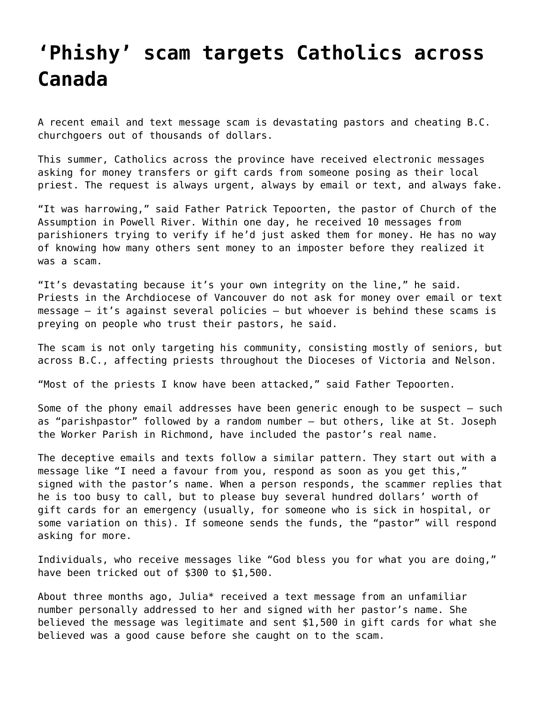## **['Phishy' scam targets Catholics across](https://grandinmedia.ca/phishy-scam-targets-catholics-across-canada/) [Canada](https://grandinmedia.ca/phishy-scam-targets-catholics-across-canada/)**

A recent email and text message scam is devastating pastors and cheating B.C. churchgoers out of thousands of dollars.

This summer, Catholics across the province have received electronic messages asking for money transfers or gift cards from someone posing as their local priest. The request is always urgent, always by email or text, and always fake.

"It was harrowing," said Father Patrick Tepoorten, the pastor of Church of the Assumption in Powell River. Within one day, he received 10 messages from parishioners trying to verify if he'd just asked them for money. He has no way of knowing how many others sent money to an imposter before they realized it was a scam.

"It's devastating because it's your own integrity on the line," he said. Priests in the Archdiocese of Vancouver do not ask for money over email or text message – it's against several policies – but whoever is behind these scams is preying on people who trust their pastors, he said.

The scam is not only targeting his community, consisting mostly of seniors, but across B.C., affecting priests throughout the Dioceses of Victoria and Nelson.

"Most of the priests I know have been attacked," said Father Tepoorten.

Some of the phony email addresses have been generic enough to be suspect – such as "parishpastor" followed by a random number – but others, like at St. Joseph the Worker Parish in Richmond, have included the pastor's real name.

The deceptive emails and texts follow a similar pattern. They start out with a message like "I need a favour from you, respond as soon as you get this," signed with the pastor's name. When a person responds, the scammer replies that he is too busy to call, but to please buy several hundred dollars' worth of gift cards for an emergency (usually, for someone who is sick in hospital, or some variation on this). If someone sends the funds, the "pastor" will respond asking for more.

Individuals, who receive messages like "God bless you for what you are doing," have been tricked out of \$300 to \$1,500.

About three months ago, Julia\* received a text message from an unfamiliar number personally addressed to her and signed with her pastor's name. She believed the message was legitimate and sent \$1,500 in gift cards for what she believed was a good cause before she caught on to the scam.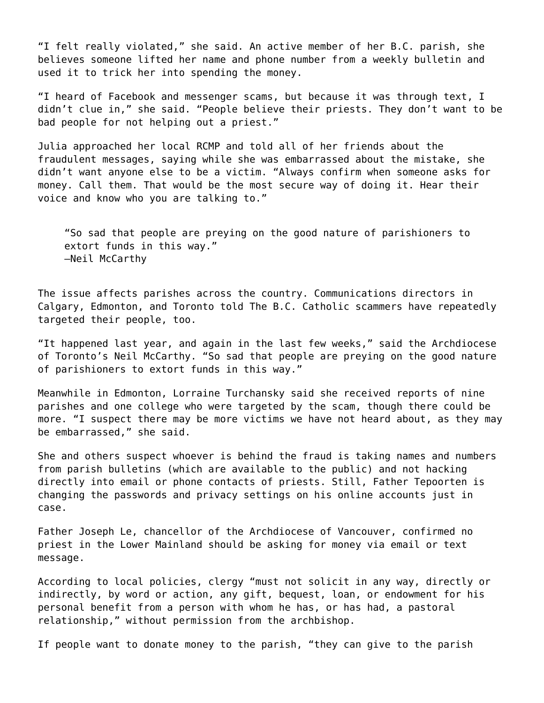"I felt really violated," she said. An active member of her B.C. parish, she believes someone lifted her name and phone number from a weekly bulletin and used it to trick her into spending the money.

"I heard of Facebook and messenger scams, but because it was through text, I didn't clue in," she said. "People believe their priests. They don't want to be bad people for not helping out a priest."

Julia approached her local RCMP and told all of her friends about the fraudulent messages, saying while she was embarrassed about the mistake, she didn't want anyone else to be a victim. "Always confirm when someone asks for money. Call them. That would be the most secure way of doing it. Hear their voice and know who you are talking to."

"So sad that people are preying on the good nature of parishioners to extort funds in this way." —Neil McCarthy

The issue affects parishes across the country. Communications directors in Calgary, Edmonton, and Toronto told The B.C. Catholic scammers have repeatedly targeted their people, too.

"It happened last year, and again in the last few weeks," said the Archdiocese of Toronto's Neil McCarthy. "So sad that people are preying on the good nature of parishioners to extort funds in this way."

Meanwhile in Edmonton, Lorraine Turchansky said she received reports of nine parishes and one college who were targeted by the scam, though there could be more. "I suspect there may be more victims we have not heard about, as they may be embarrassed," she said.

She and others suspect whoever is behind the fraud is taking names and numbers from parish bulletins (which are available to the public) and not hacking directly into email or phone contacts of priests. Still, Father Tepoorten is changing the passwords and privacy settings on his online accounts just in case.

Father Joseph Le, chancellor of the Archdiocese of Vancouver, confirmed no priest in the Lower Mainland should be asking for money via email or text message.

According to local policies, clergy "must not solicit in any way, directly or indirectly, by word or action, any gift, bequest, loan, or endowment for his personal benefit from a person with whom he has, or has had, a pastoral relationship," without permission from the archbishop.

If people want to donate money to the parish, "they can give to the parish